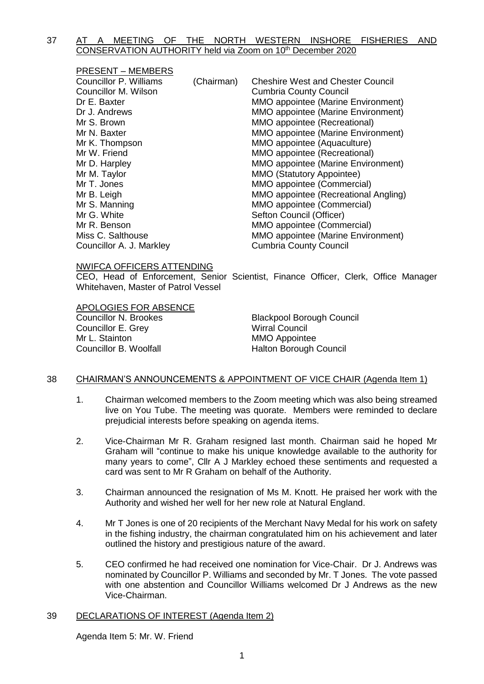## 37 AT A MEETING OF THE NORTH WESTERN INSHORE FISHERIES AND CONSERVATION AUTHORITY held via Zoom on 10th December 2020

| <b>PRESENT – MEMBERS</b> |            |                                           |
|--------------------------|------------|-------------------------------------------|
| Councillor P. Williams   | (Chairman) | <b>Cheshire West and Chester Council</b>  |
| Councillor M. Wilson     |            | <b>Cumbria County Council</b>             |
| Dr E. Baxter             |            | <b>MMO</b> appointee (Marine Environment) |
| Dr J. Andrews            |            | MMO appointee (Marine Environment)        |
| Mr S. Brown              |            | MMO appointee (Recreational)              |
| Mr N. Baxter             |            | <b>MMO</b> appointee (Marine Environment) |
| Mr K. Thompson           |            | MMO appointee (Aquaculture)               |
| Mr W. Friend             |            | MMO appointee (Recreational)              |
| Mr D. Harpley            |            | MMO appointee (Marine Environment)        |
| Mr M. Taylor             |            | <b>MMO (Statutory Appointee)</b>          |
| Mr T. Jones              |            | MMO appointee (Commercial)                |
| Mr B. Leigh              |            | MMO appointee (Recreational Angling)      |
| Mr S. Manning            |            | MMO appointee (Commercial)                |
| Mr G. White              |            | Sefton Council (Officer)                  |
| Mr R. Benson             |            | MMO appointee (Commercial)                |
| Miss C. Salthouse        |            | <b>MMO appointee (Marine Environment)</b> |
| Councillor A. J. Markley |            | <b>Cumbria County Council</b>             |

#### NWIFCA OFFICERS ATTENDING

CEO, Head of Enforcement, Senior Scientist, Finance Officer, Clerk, Office Manager Whitehaven, Master of Patrol Vessel

APOLOGIES FOR ABSENCE **Councillor N. Brookes Blackpool Borough Council** Councillor E. Grey Wirral Council Mr L. Stainton MMO Appointee Councillor B. Woolfall **Halton Borough Council** 

#### 38 CHAIRMAN'S ANNOUNCEMENTS & APPOINTMENT OF VICE CHAIR (Agenda Item 1)

- 1. Chairman welcomed members to the Zoom meeting which was also being streamed live on You Tube. The meeting was quorate. Members were reminded to declare prejudicial interests before speaking on agenda items.
- 2. Vice-Chairman Mr R. Graham resigned last month. Chairman said he hoped Mr Graham will "continue to make his unique knowledge available to the authority for many years to come", Cllr A J Markley echoed these sentiments and requested a card was sent to Mr R Graham on behalf of the Authority.
- 3. Chairman announced the resignation of Ms M. Knott. He praised her work with the Authority and wished her well for her new role at Natural England.
- 4. Mr T Jones is one of 20 recipients of the Merchant Navy Medal for his work on safety in the fishing industry, the chairman congratulated him on his achievement and later outlined the history and prestigious nature of the award.
- 5. CEO confirmed he had received one nomination for Vice-Chair. Dr J. Andrews was nominated by Councillor P. Williams and seconded by Mr. T Jones. The vote passed with one abstention and Councillor Williams welcomed Dr J Andrews as the new Vice-Chairman.

#### 39 DECLARATIONS OF INTEREST (Agenda Item 2)

Agenda Item 5: Mr. W. Friend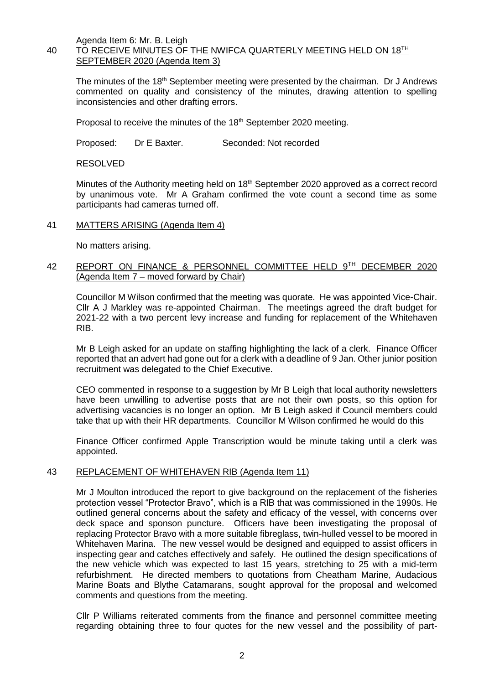Agenda Item 6: Mr. B. Leigh

# 40 TO RECEIVE MINUTES OF THE NWIFCA QUARTERLY MEETING HELD ON 18TH SEPTEMBER 2020 (Agenda Item 3)

The minutes of the 18<sup>th</sup> September meeting were presented by the chairman. Dr J Andrews commented on quality and consistency of the minutes, drawing attention to spelling inconsistencies and other drafting errors.

Proposal to receive the minutes of the 18<sup>th</sup> September 2020 meeting.

Proposed: Dr E Baxter. Seconded: Not recorded

RESOLVED

Minutes of the Authority meeting held on 18<sup>th</sup> September 2020 approved as a correct record by unanimous vote. Mr A Graham confirmed the vote count a second time as some participants had cameras turned off.

### 41 MATTERS ARISING (Agenda Item 4)

No matters arising.

## 42 REPORT ON FINANCE & PERSONNEL COMMITTEE HELD 9TH DECEMBER 2020 (Agenda Item 7 – moved forward by Chair)

Councillor M Wilson confirmed that the meeting was quorate. He was appointed Vice-Chair. Cllr A J Markley was re-appointed Chairman. The meetings agreed the draft budget for 2021-22 with a two percent levy increase and funding for replacement of the Whitehaven RIB.

Mr B Leigh asked for an update on staffing highlighting the lack of a clerk. Finance Officer reported that an advert had gone out for a clerk with a deadline of 9 Jan. Other junior position recruitment was delegated to the Chief Executive.

CEO commented in response to a suggestion by Mr B Leigh that local authority newsletters have been unwilling to advertise posts that are not their own posts, so this option for advertising vacancies is no longer an option. Mr B Leigh asked if Council members could take that up with their HR departments. Councillor M Wilson confirmed he would do this

Finance Officer confirmed Apple Transcription would be minute taking until a clerk was appointed.

## 43 REPLACEMENT OF WHITEHAVEN RIB (Agenda Item 11)

Mr J Moulton introduced the report to give background on the replacement of the fisheries protection vessel "Protector Bravo", which is a RIB that was commissioned in the 1990s. He outlined general concerns about the safety and efficacy of the vessel, with concerns over deck space and sponson puncture. Officers have been investigating the proposal of replacing Protector Bravo with a more suitable fibreglass, twin-hulled vessel to be moored in Whitehaven Marina. The new vessel would be designed and equipped to assist officers in inspecting gear and catches effectively and safely. He outlined the design specifications of the new vehicle which was expected to last 15 years, stretching to 25 with a mid-term refurbishment. He directed members to quotations from Cheatham Marine, Audacious Marine Boats and Blythe Catamarans, sought approval for the proposal and welcomed comments and questions from the meeting.

Cllr P Williams reiterated comments from the finance and personnel committee meeting regarding obtaining three to four quotes for the new vessel and the possibility of part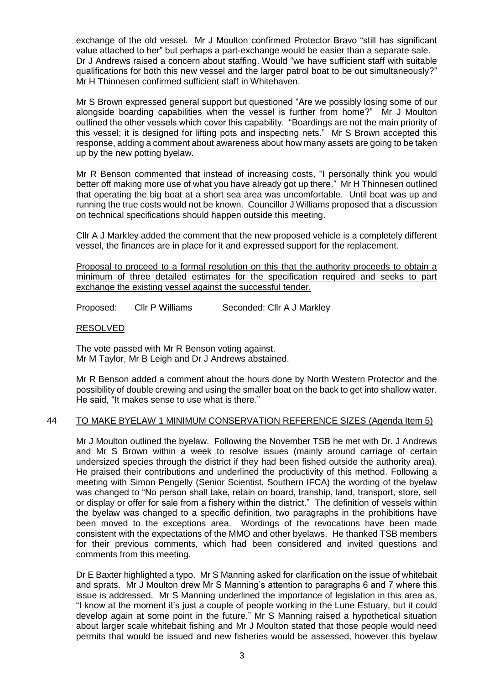exchange of the old vessel. Mr J Moulton confirmed Protector Bravo "still has significant value attached to her" but perhaps a part-exchange would be easier than a separate sale. Dr J Andrews raised a concern about staffing. Would "we have sufficient staff with suitable qualifications for both this new vessel and the larger patrol boat to be out simultaneously?" Mr H Thinnesen confirmed sufficient staff in Whitehaven.

Mr S Brown expressed general support but questioned "Are we possibly losing some of our alongside boarding capabilities when the vessel is further from home?" Mr J Moulton outlined the other vessels which cover this capability. "Boardings are not the main priority of this vessel; it is designed for lifting pots and inspecting nets." Mr S Brown accepted this response, adding a comment about awareness about how many assets are going to be taken up by the new potting byelaw.

Mr R Benson commented that instead of increasing costs, "I personally think you would better off making more use of what you have already got up there." Mr H Thinnesen outlined that operating the big boat at a short sea area was uncomfortable. Until boat was up and running the true costs would not be known. Councillor J Williams proposed that a discussion on technical specifications should happen outside this meeting.

Cllr A J Markley added the comment that the new proposed vehicle is a completely different vessel, the finances are in place for it and expressed support for the replacement.

Proposal to proceed to a formal resolution on this that the authority proceeds to obtain a minimum of three detailed estimates for the specification required and seeks to part exchange the existing vessel against the successful tender.

Proposed: Cllr P Williams Seconded: Cllr A J Markley

### RESOLVED

The vote passed with Mr R Benson voting against. Mr M Taylor, Mr B Leigh and Dr J Andrews abstained.

Mr R Benson added a comment about the hours done by North Western Protector and the possibility of double crewing and using the smaller boat on the back to get into shallow water. He said, "It makes sense to use what is there."

## 44 TO MAKE BYELAW 1 MINIMUM CONSERVATION REFERENCE SIZES (Agenda Item 5)

Mr J Moulton outlined the byelaw. Following the November TSB he met with Dr. J Andrews and Mr S Brown within a week to resolve issues (mainly around carriage of certain undersized species through the district if they had been fished outside the authority area). He praised their contributions and underlined the productivity of this method. Following a meeting with Simon Pengelly (Senior Scientist, Southern IFCA) the wording of the byelaw was changed to "No person shall take, retain on board, tranship, land, transport, store, sell or display or offer for sale from a fishery within the district." The definition of vessels within the byelaw was changed to a specific definition, two paragraphs in the prohibitions have been moved to the exceptions area. Wordings of the revocations have been made consistent with the expectations of the MMO and other byelaws. He thanked TSB members for their previous comments, which had been considered and invited questions and comments from this meeting.

Dr E Baxter highlighted a typo. Mr S Manning asked for clarification on the issue of whitebait and sprats. Mr J Moulton drew Mr S Manning's attention to paragraphs 6 and 7 where this issue is addressed. Mr S Manning underlined the importance of legislation in this area as, "I know at the moment it's just a couple of people working in the Lune Estuary, but it could develop again at some point in the future." Mr S Manning raised a hypothetical situation about larger scale whitebait fishing and Mr J Moulton stated that those people would need permits that would be issued and new fisheries would be assessed, however this byelaw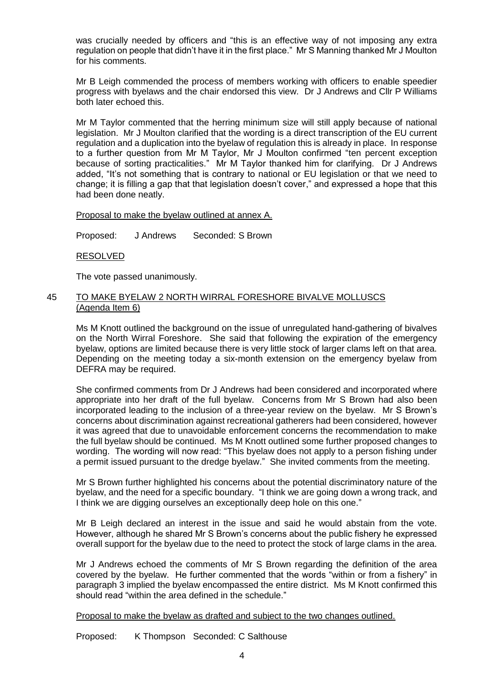was crucially needed by officers and "this is an effective way of not imposing any extra regulation on people that didn't have it in the first place." Mr S Manning thanked Mr J Moulton for his comments.

Mr B Leigh commended the process of members working with officers to enable speedier progress with byelaws and the chair endorsed this view. Dr J Andrews and Cllr P Williams both later echoed this.

Mr M Taylor commented that the herring minimum size will still apply because of national legislation. Mr J Moulton clarified that the wording is a direct transcription of the EU current regulation and a duplication into the byelaw of regulation this is already in place. In response to a further question from Mr M Taylor, Mr J Moulton confirmed "ten percent exception because of sorting practicalities." Mr M Taylor thanked him for clarifying. Dr J Andrews added, "It's not something that is contrary to national or EU legislation or that we need to change; it is filling a gap that that legislation doesn't cover," and expressed a hope that this had been done neatly.

Proposal to make the byelaw outlined at annex A.

Proposed: J Andrews Seconded: S Brown

RESOLVED

The vote passed unanimously.

### 45 TO MAKE BYELAW 2 NORTH WIRRAL FORESHORE BIVALVE MOLLUSCS (Agenda Item 6)

Ms M Knott outlined the background on the issue of unregulated hand-gathering of bivalves on the North Wirral Foreshore. She said that following the expiration of the emergency byelaw, options are limited because there is very little stock of larger clams left on that area. Depending on the meeting today a six-month extension on the emergency byelaw from DEFRA may be required.

She confirmed comments from Dr J Andrews had been considered and incorporated where appropriate into her draft of the full byelaw. Concerns from Mr S Brown had also been incorporated leading to the inclusion of a three-year review on the byelaw. Mr S Brown's concerns about discrimination against recreational gatherers had been considered, however it was agreed that due to unavoidable enforcement concerns the recommendation to make the full byelaw should be continued. Ms M Knott outlined some further proposed changes to wording. The wording will now read: "This byelaw does not apply to a person fishing under a permit issued pursuant to the dredge byelaw." She invited comments from the meeting.

Mr S Brown further highlighted his concerns about the potential discriminatory nature of the byelaw, and the need for a specific boundary. "I think we are going down a wrong track, and I think we are digging ourselves an exceptionally deep hole on this one."

Mr B Leigh declared an interest in the issue and said he would abstain from the vote. However, although he shared Mr S Brown's concerns about the public fishery he expressed overall support for the byelaw due to the need to protect the stock of large clams in the area.

Mr J Andrews echoed the comments of Mr S Brown regarding the definition of the area covered by the byelaw. He further commented that the words "within or from a fishery" in paragraph 3 implied the byelaw encompassed the entire district. Ms M Knott confirmed this should read "within the area defined in the schedule."

Proposal to make the byelaw as drafted and subject to the two changes outlined.

Proposed: K Thompson Seconded: C Salthouse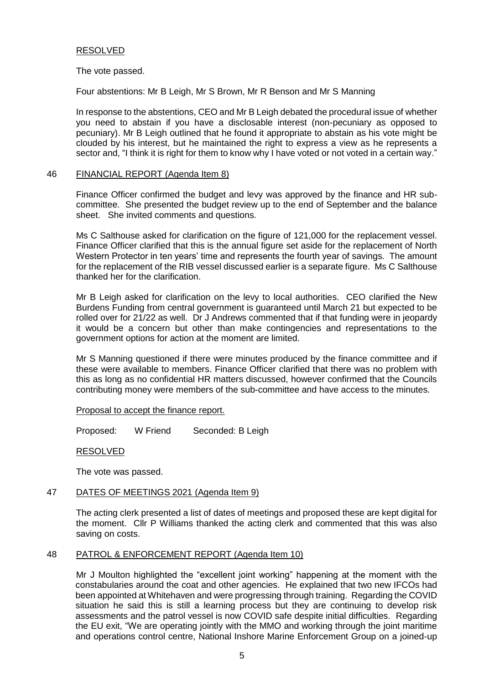#### RESOLVED

The vote passed.

Four abstentions: Mr B Leigh, Mr S Brown, Mr R Benson and Mr S Manning

In response to the abstentions, CEO and Mr B Leigh debated the procedural issue of whether you need to abstain if you have a disclosable interest (non-pecuniary as opposed to pecuniary). Mr B Leigh outlined that he found it appropriate to abstain as his vote might be clouded by his interest, but he maintained the right to express a view as he represents a sector and, "I think it is right for them to know why I have voted or not voted in a certain way."

### 46 FINANCIAL REPORT (Agenda Item 8)

Finance Officer confirmed the budget and levy was approved by the finance and HR subcommittee. She presented the budget review up to the end of September and the balance sheet. She invited comments and questions.

Ms C Salthouse asked for clarification on the figure of 121,000 for the replacement vessel. Finance Officer clarified that this is the annual figure set aside for the replacement of North Western Protector in ten years' time and represents the fourth year of savings. The amount for the replacement of the RIB vessel discussed earlier is a separate figure. Ms C Salthouse thanked her for the clarification.

Mr B Leigh asked for clarification on the levy to local authorities. CEO clarified the New Burdens Funding from central government is guaranteed until March 21 but expected to be rolled over for 21/22 as well. Dr J Andrews commented that if that funding were in jeopardy it would be a concern but other than make contingencies and representations to the government options for action at the moment are limited.

Mr S Manning questioned if there were minutes produced by the finance committee and if these were available to members. Finance Officer clarified that there was no problem with this as long as no confidential HR matters discussed, however confirmed that the Councils contributing money were members of the sub-committee and have access to the minutes.

#### Proposal to accept the finance report.

Proposed: W Friend Seconded: B Leigh

RESOLVED

The vote was passed.

#### 47 DATES OF MEETINGS 2021 (Agenda Item 9)

The acting clerk presented a list of dates of meetings and proposed these are kept digital for the moment. Cllr P Williams thanked the acting clerk and commented that this was also saving on costs.

#### 48 PATROL & ENFORCEMENT REPORT (Agenda Item 10)

Mr J Moulton highlighted the "excellent joint working" happening at the moment with the constabularies around the coat and other agencies. He explained that two new IFCOs had been appointed at Whitehaven and were progressing through training. Regarding the COVID situation he said this is still a learning process but they are continuing to develop risk assessments and the patrol vessel is now COVID safe despite initial difficulties. Regarding the EU exit, "We are operating jointly with the MMO and working through the joint maritime and operations control centre, National Inshore Marine Enforcement Group on a joined-up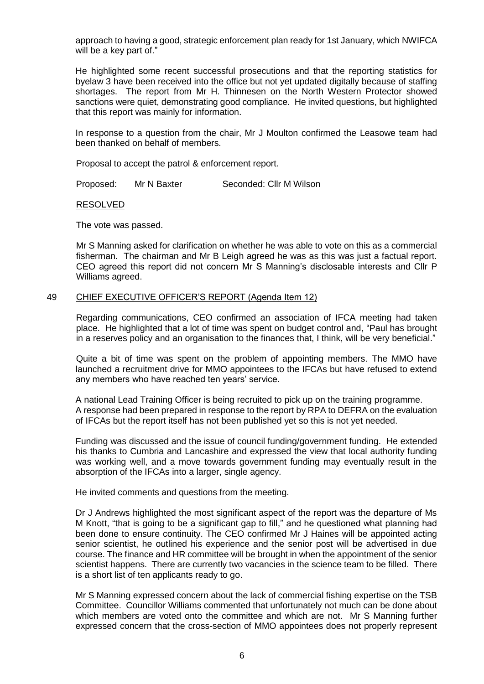approach to having a good, strategic enforcement plan ready for 1st January, which NWIFCA will be a key part of."

He highlighted some recent successful prosecutions and that the reporting statistics for byelaw 3 have been received into the office but not yet updated digitally because of staffing shortages. The report from Mr H. Thinnesen on the North Western Protector showed sanctions were quiet, demonstrating good compliance. He invited questions, but highlighted that this report was mainly for information.

In response to a question from the chair, Mr J Moulton confirmed the Leasowe team had been thanked on behalf of members.

#### Proposal to accept the patrol & enforcement report.

Proposed: Mr N Baxter Seconded: Cllr M Wilson

#### RESOLVED

The vote was passed.

Mr S Manning asked for clarification on whether he was able to vote on this as a commercial fisherman. The chairman and Mr B Leigh agreed he was as this was just a factual report. CEO agreed this report did not concern Mr S Manning's disclosable interests and Cllr P Williams agreed.

#### 49 CHIEF EXECUTIVE OFFICER'S REPORT (Agenda Item 12)

Regarding communications, CEO confirmed an association of IFCA meeting had taken place. He highlighted that a lot of time was spent on budget control and, "Paul has brought in a reserves policy and an organisation to the finances that, I think, will be very beneficial."

Quite a bit of time was spent on the problem of appointing members. The MMO have launched a recruitment drive for MMO appointees to the IFCAs but have refused to extend any members who have reached ten years' service.

A national Lead Training Officer is being recruited to pick up on the training programme. A response had been prepared in response to the report by RPA to DEFRA on the evaluation of IFCAs but the report itself has not been published yet so this is not yet needed.

Funding was discussed and the issue of council funding/government funding. He extended his thanks to Cumbria and Lancashire and expressed the view that local authority funding was working well, and a move towards government funding may eventually result in the absorption of the IFCAs into a larger, single agency.

He invited comments and questions from the meeting.

Dr J Andrews highlighted the most significant aspect of the report was the departure of Ms M Knott, "that is going to be a significant gap to fill," and he questioned what planning had been done to ensure continuity. The CEO confirmed Mr J Haines will be appointed acting senior scientist, he outlined his experience and the senior post will be advertised in due course. The finance and HR committee will be brought in when the appointment of the senior scientist happens. There are currently two vacancies in the science team to be filled. There is a short list of ten applicants ready to go.

Mr S Manning expressed concern about the lack of commercial fishing expertise on the TSB Committee. Councillor Williams commented that unfortunately not much can be done about which members are voted onto the committee and which are not. Mr S Manning further expressed concern that the cross-section of MMO appointees does not properly represent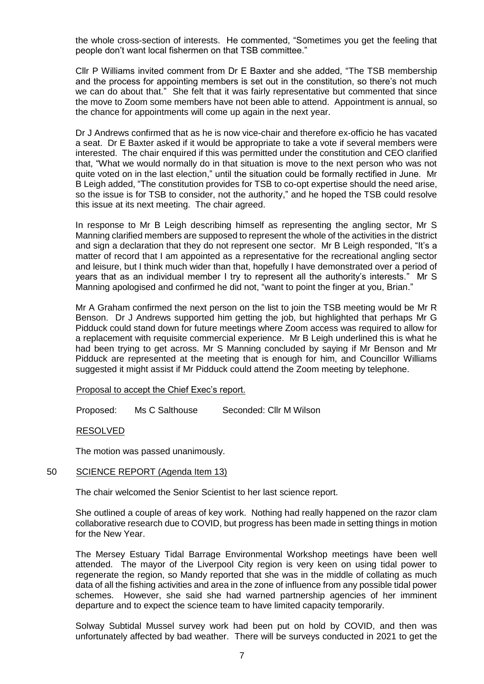the whole cross-section of interests. He commented, "Sometimes you get the feeling that people don't want local fishermen on that TSB committee."

Cllr P Williams invited comment from Dr E Baxter and she added, "The TSB membership and the process for appointing members is set out in the constitution, so there's not much we can do about that." She felt that it was fairly representative but commented that since the move to Zoom some members have not been able to attend. Appointment is annual, so the chance for appointments will come up again in the next year.

Dr J Andrews confirmed that as he is now vice-chair and therefore ex-officio he has vacated a seat. Dr E Baxter asked if it would be appropriate to take a vote if several members were interested. The chair enquired if this was permitted under the constitution and CEO clarified that, "What we would normally do in that situation is move to the next person who was not quite voted on in the last election," until the situation could be formally rectified in June. Mr B Leigh added, "The constitution provides for TSB to co-opt expertise should the need arise, so the issue is for TSB to consider, not the authority," and he hoped the TSB could resolve this issue at its next meeting. The chair agreed.

In response to Mr B Leigh describing himself as representing the angling sector, Mr S Manning clarified members are supposed to represent the whole of the activities in the district and sign a declaration that they do not represent one sector. Mr B Leigh responded, "It's a matter of record that I am appointed as a representative for the recreational angling sector and leisure, but I think much wider than that, hopefully I have demonstrated over a period of years that as an individual member I try to represent all the authority's interests." Mr S Manning apologised and confirmed he did not, "want to point the finger at you, Brian."

Mr A Graham confirmed the next person on the list to join the TSB meeting would be Mr R Benson. Dr J Andrews supported him getting the job, but highlighted that perhaps Mr G Pidduck could stand down for future meetings where Zoom access was required to allow for a replacement with requisite commercial experience. Mr B Leigh underlined this is what he had been trying to get across. Mr S Manning concluded by saying if Mr Benson and Mr Pidduck are represented at the meeting that is enough for him, and Councillor Williams suggested it might assist if Mr Pidduck could attend the Zoom meeting by telephone.

Proposal to accept the Chief Exec's report.

Proposed: Ms C Salthouse Seconded: Cllr M Wilson

#### RESOLVED

The motion was passed unanimously.

#### 50 SCIENCE REPORT (Agenda Item 13)

The chair welcomed the Senior Scientist to her last science report.

She outlined a couple of areas of key work. Nothing had really happened on the razor clam collaborative research due to COVID, but progress has been made in setting things in motion for the New Year.

The Mersey Estuary Tidal Barrage Environmental Workshop meetings have been well attended. The mayor of the Liverpool City region is very keen on using tidal power to regenerate the region, so Mandy reported that she was in the middle of collating as much data of all the fishing activities and area in the zone of influence from any possible tidal power schemes. However, she said she had warned partnership agencies of her imminent departure and to expect the science team to have limited capacity temporarily.

Solway Subtidal Mussel survey work had been put on hold by COVID, and then was unfortunately affected by bad weather. There will be surveys conducted in 2021 to get the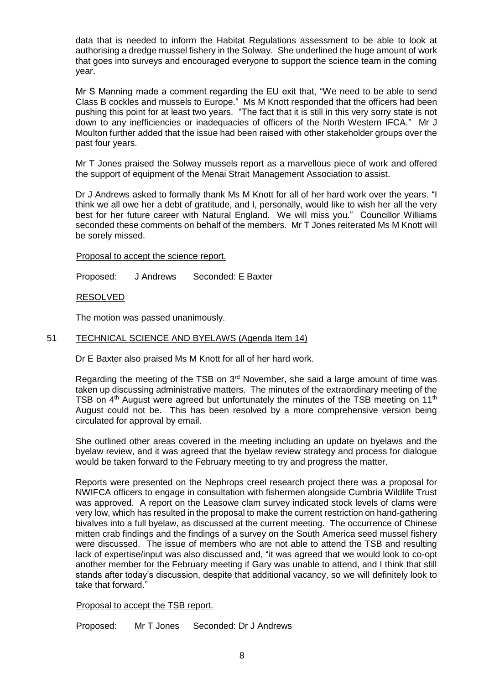data that is needed to inform the Habitat Regulations assessment to be able to look at authorising a dredge mussel fishery in the Solway. She underlined the huge amount of work that goes into surveys and encouraged everyone to support the science team in the coming year.

Mr S Manning made a comment regarding the EU exit that, "We need to be able to send Class B cockles and mussels to Europe." Ms M Knott responded that the officers had been pushing this point for at least two years. "The fact that it is still in this very sorry state is not down to any inefficiencies or inadequacies of officers of the North Western IFCA." Mr J Moulton further added that the issue had been raised with other stakeholder groups over the past four years.

Mr T Jones praised the Solway mussels report as a marvellous piece of work and offered the support of equipment of the Menai Strait Management Association to assist.

Dr J Andrews asked to formally thank Ms M Knott for all of her hard work over the years. "I think we all owe her a debt of gratitude, and I, personally, would like to wish her all the very best for her future career with Natural England. We will miss you." Councillor Williams seconded these comments on behalf of the members. Mr T Jones reiterated Ms M Knott will be sorely missed.

Proposal to accept the science report.

Proposed: J Andrews Seconded: E Baxter

RESOLVED

The motion was passed unanimously.

### 51 TECHNICAL SCIENCE AND BYELAWS (Agenda Item 14)

Dr E Baxter also praised Ms M Knott for all of her hard work.

Regarding the meeting of the TSB on  $3<sup>rd</sup>$  November, she said a large amount of time was taken up discussing administrative matters. The minutes of the extraordinary meeting of the TSB on  $4<sup>th</sup>$  August were agreed but unfortunately the minutes of the TSB meeting on 11<sup>th</sup> August could not be. This has been resolved by a more comprehensive version being circulated for approval by email.

She outlined other areas covered in the meeting including an update on byelaws and the byelaw review, and it was agreed that the byelaw review strategy and process for dialogue would be taken forward to the February meeting to try and progress the matter.

Reports were presented on the Nephrops creel research project there was a proposal for NWIFCA officers to engage in consultation with fishermen alongside Cumbria Wildlife Trust was approved. A report on the Leasowe clam survey indicated stock levels of clams were very low, which has resulted in the proposal to make the current restriction on hand-gathering bivalves into a full byelaw, as discussed at the current meeting. The occurrence of Chinese mitten crab findings and the findings of a survey on the South America seed mussel fishery were discussed. The issue of members who are not able to attend the TSB and resulting lack of expertise/input was also discussed and, "it was agreed that we would look to co-opt another member for the February meeting if Gary was unable to attend, and I think that still stands after today's discussion, despite that additional vacancy, so we will definitely look to take that forward."

Proposal to accept the TSB report.

Proposed: Mr T Jones Seconded: Dr J Andrews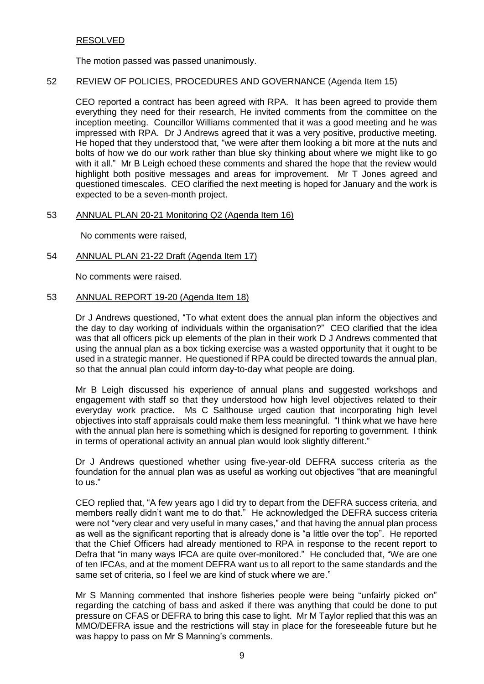# RESOLVED

The motion passed was passed unanimously.

## 52 REVIEW OF POLICIES, PROCEDURES AND GOVERNANCE (Agenda Item 15)

CEO reported a contract has been agreed with RPA. It has been agreed to provide them everything they need for their research, He invited comments from the committee on the inception meeting. Councillor Williams commented that it was a good meeting and he was impressed with RPA. Dr J Andrews agreed that it was a very positive, productive meeting. He hoped that they understood that, "we were after them looking a bit more at the nuts and bolts of how we do our work rather than blue sky thinking about where we might like to go with it all." Mr B Leigh echoed these comments and shared the hope that the review would highlight both positive messages and areas for improvement. Mr T Jones agreed and questioned timescales. CEO clarified the next meeting is hoped for January and the work is expected to be a seven-month project.

#### 53 ANNUAL PLAN 20-21 Monitoring Q2 (Agenda Item 16)

No comments were raised,

### 54 ANNUAL PLAN 21-22 Draft (Agenda Item 17)

No comments were raised.

### 53 ANNUAL REPORT 19-20 (Agenda Item 18)

Dr J Andrews questioned, "To what extent does the annual plan inform the objectives and the day to day working of individuals within the organisation?" CEO clarified that the idea was that all officers pick up elements of the plan in their work D J Andrews commented that using the annual plan as a box ticking exercise was a wasted opportunity that it ought to be used in a strategic manner. He questioned if RPA could be directed towards the annual plan, so that the annual plan could inform day-to-day what people are doing.

Mr B Leigh discussed his experience of annual plans and suggested workshops and engagement with staff so that they understood how high level objectives related to their everyday work practice. Ms C Salthouse urged caution that incorporating high level objectives into staff appraisals could make them less meaningful. "I think what we have here with the annual plan here is something which is designed for reporting to government. I think in terms of operational activity an annual plan would look slightly different."

Dr J Andrews questioned whether using five-year-old DEFRA success criteria as the foundation for the annual plan was as useful as working out objectives "that are meaningful to us."

CEO replied that, "A few years ago I did try to depart from the DEFRA success criteria, and members really didn't want me to do that." He acknowledged the DEFRA success criteria were not "very clear and very useful in many cases," and that having the annual plan process as well as the significant reporting that is already done is "a little over the top". He reported that the Chief Officers had already mentioned to RPA in response to the recent report to Defra that "in many ways IFCA are quite over-monitored." He concluded that, "We are one of ten IFCAs, and at the moment DEFRA want us to all report to the same standards and the same set of criteria, so I feel we are kind of stuck where we are."

Mr S Manning commented that inshore fisheries people were being "unfairly picked on" regarding the catching of bass and asked if there was anything that could be done to put pressure on CFAS or DEFRA to bring this case to light. Mr M Taylor replied that this was an MMO/DEFRA issue and the restrictions will stay in place for the foreseeable future but he was happy to pass on Mr S Manning's comments.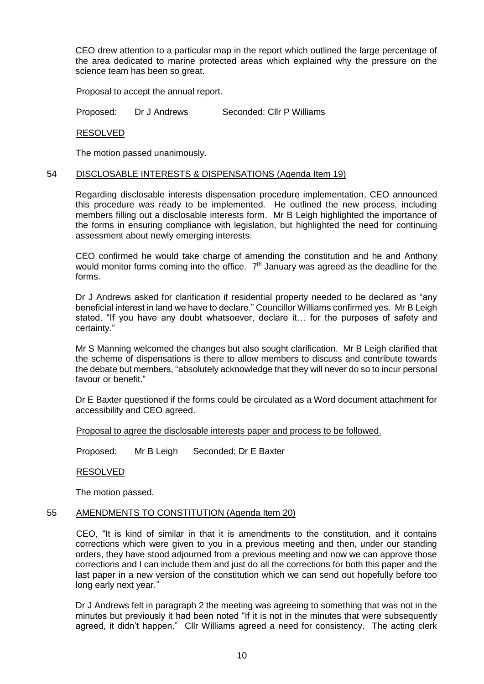CEO drew attention to a particular map in the report which outlined the large percentage of the area dedicated to marine protected areas which explained why the pressure on the science team has been so great.

#### Proposal to accept the annual report.

Proposed: Dr J Andrews Seconded: Cllr P Williams

RESOLVED

The motion passed unanimously.

## 54 DISCLOSABLE INTERESTS & DISPENSATIONS (Agenda Item 19)

Regarding disclosable interests dispensation procedure implementation, CEO announced this procedure was ready to be implemented. He outlined the new process, including members filling out a disclosable interests form. Mr B Leigh highlighted the importance of the forms in ensuring compliance with legislation, but highlighted the need for continuing assessment about newly emerging interests.

CEO confirmed he would take charge of amending the constitution and he and Anthony would monitor forms coming into the office.  $7<sup>th</sup>$  January was agreed as the deadline for the forms.

Dr J Andrews asked for clarification if residential property needed to be declared as "any beneficial interest in land we have to declare." Councillor Williams confirmed yes. Mr B Leigh stated, "If you have any doubt whatsoever, declare it… for the purposes of safety and certainty."

Mr S Manning welcomed the changes but also sought clarification. Mr B Leigh clarified that the scheme of dispensations is there to allow members to discuss and contribute towards the debate but members, "absolutely acknowledge that they will never do so to incur personal favour or benefit."

Dr E Baxter questioned if the forms could be circulated as a Word document attachment for accessibility and CEO agreed.

Proposal to agree the disclosable interests paper and process to be followed.

Proposed: Mr B Leigh Seconded: Dr E Baxter

RESOLVED

The motion passed.

#### 55 AMENDMENTS TO CONSTITUTION (Agenda Item 20)

CEO, "It is kind of similar in that it is amendments to the constitution, and it contains corrections which were given to you in a previous meeting and then, under our standing orders, they have stood adjourned from a previous meeting and now we can approve those corrections and I can include them and just do all the corrections for both this paper and the last paper in a new version of the constitution which we can send out hopefully before too long early next year."

Dr J Andrews felt in paragraph 2 the meeting was agreeing to something that was not in the minutes but previously it had been noted "If it is not in the minutes that were subsequently agreed, it didn't happen." Cllr Williams agreed a need for consistency. The acting clerk